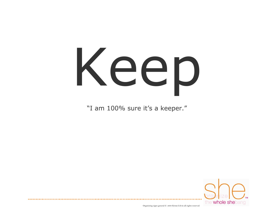## Keep

"I am 100% sure it's a keeper."

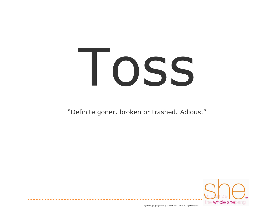#### Toss

"Definite goner, broken or trashed. Adious."

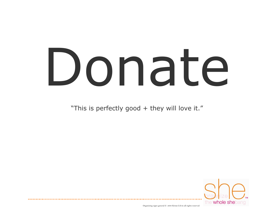#### Donate

"This is perfectly good + they will love it."

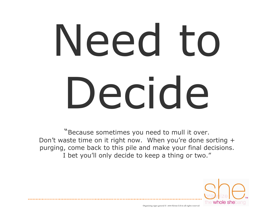## Need to Decide

"Because sometimes you need to mull it over. Don't waste time on it right now. When you're done sorting + purging, come back to this pile and make your final decisions. I bet you'll only decide to keep a thing or two."

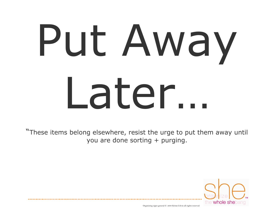## Put Away Later…

"These items belong elsewhere, resist the urge to put them away until you are done sorting + purging.

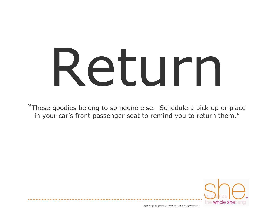#### Return

"These goodies belong to someone else. Schedule a pick up or place in your car's front passenger seat to remind you to return them."

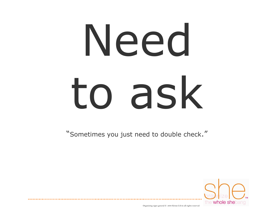## Need to ask

"Sometimes you just need to double check."

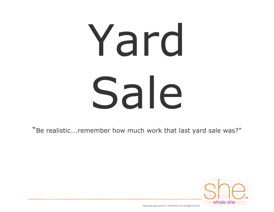## Yard Sale

"Be realistic….remember how much work that last yard sale was?"